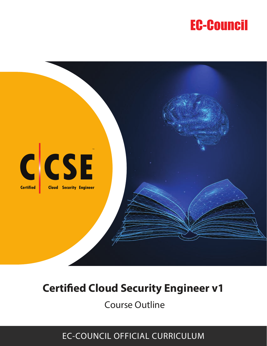# **EC-Council**



# **Certified Cloud Security Engineer v1**

**Course Outline** 

# **EC-COUNCIL OFFICIAL CURRICULUM**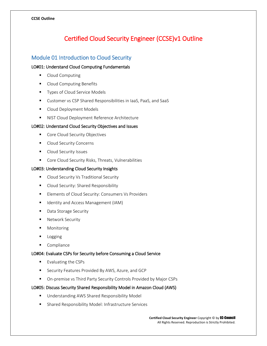# Certified Cloud Security Engineer (CCSE)v1 Outline

# Module 01 Introduction to Cloud Security

# LO#01: Understand Cloud Computing Fundamentals

- **Cloud Computing**
- **Cloud Computing Benefits**
- **Types of Cloud Service Models**
- Customer vs CSP Shared Responsibilities in IaaS, PaaS, and SaaS
- Cloud Deployment Models
- **NIST Cloud Deployment Reference Architecture**

# LO#02: Understand Cloud Security Objectives and Issues

- Core Cloud Security Objectives
- Cloud Security Concerns
- **Cloud Security Issues**
- **Core Cloud Security Risks, Threats, Vulnerabilities**

# LO#03: Understanding Cloud Security Insights

- **Cloud Security Vs Traditional Security**
- Cloud Security: Shared Responsibility
- **Elements of Cloud Security: Consumers Vs Providers**
- **If** Identity and Access Management (IAM)
- **Data Storage Security**
- **Network Security**
- **-** Monitoring
- Logging
- **Compliance**

# LO#04: Evaluate CSPs for Security before Consuming a Cloud Service

- $\blacksquare$  Evaluating the CSPs
- **Security Features Provided By AWS, Azure, and GCP**
- On-premise vs Third Party Security Controls Provided by Major CSPs

# LO#05: Discuss Security Shared Responsibility Model in Amazon Cloud (AWS)

- **Understanding AWS Shared Responsibility Model**
- Shared Responsibility Model: Infrastructure Services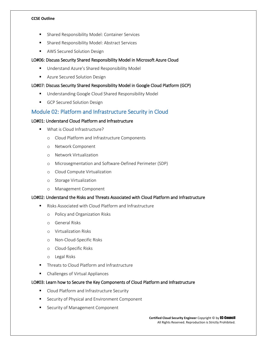- **EXEC** Shared Responsibility Model: Container Services
- **Shared Responsibility Model: Abstract Services**
- **AWS Secured Solution Design**

# LO#06: Discuss Security Shared Responsibility Model in Microsoft Azure Cloud

- **Understand Azure's Shared Responsibility Model**
- **Azure Secured Solution Design**

## LO#07: Discuss Security Shared Responsibility Model in Google Cloud Platform (GCP)

- **Understanding Google Cloud Shared Responsibility Model**
- GCP Secured Solution Design

# Module 02: Platform and Infrastructure Security in Cloud

# LO#01: Understand Cloud Platform and Infrastructure

- **What is Cloud Infrastructure?** 
	- o Cloud Platform and Infrastructure Components
	- o Network Component
	- o Network Virtualization
	- o Microsegmentation and Software-Defined Perimeter (SDP)
	- o Cloud Compute Virtualization
	- o Storage Virtualization
	- o Management Component

## LO#02: Understand the Risks and Threats Associated with Cloud Platform and Infrastructure

- Risks Associated with Cloud Platform and Infrastructure
	- o Policy and Organization Risks
	- o General Risks
	- o Virtualization Risks
	- o Non-Cloud-Specific Risks
	- o Cloud-Specific Risks
	- o Legal Risks
- Threats to Cloud Platform and Infrastructure
- **E** Challenges of Virtual Appliances

#### LO#03: Learn how to Secure the Key Components of Cloud Platform and Infrastructure

- **EXECLOUD Platform and Infrastructure Security**
- **EXECUTE Security of Physical and Environment Component**
- **EXECUTE Security of Management Component**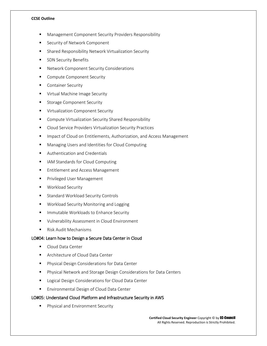- Management Component Security Providers Responsibility
- Security of Network Component
- Shared Responsibility Network Virtualization Security
- **SDN Security Benefits**
- **Network Component Security Considerations**
- **E** Compute Component Security
- **Container Security**
- **Virtual Machine Image Security**
- **Storage Component Security**
- **URIGAL** Virtualization Component Security
- **E** Compute Virtualization Security Shared Responsibility
- **EXECLOUD Service Providers Virtualization Security Practices**
- **IMPACT OF CLOUD ON Entitlements, Authorization, and Access Management**
- Managing Users and Identities for Cloud Computing
- **EXECUTE:** Authentication and Credentials
- **IF IAM Standards for Cloud Computing**
- **Entitlement and Access Management**
- **Privileged User Management**
- **Workload Security**
- **Standard Workload Security Controls**
- **Workload Security Monitoring and Logging**
- **IMMUTABLE Workloads to Enhance Security**
- **ULA Vulnerability Assessment in Cloud Environment**
- Risk Audit Mechanisms

# LO#04: Learn how to Design a Secure Data Center in Cloud

- Cloud Data Center
- **Architecture of Cloud Data Center**
- **Physical Design Considerations for Data Center**
- Physical Network and Storage Design Considerations for Data Centers
- **Logical Design Considerations for Cloud Data Center**
- **Environmental Design of Cloud Data Center**

#### LO#05: Understand Cloud Platform and Infrastructure Security in AWS

**Physical and Environment Security**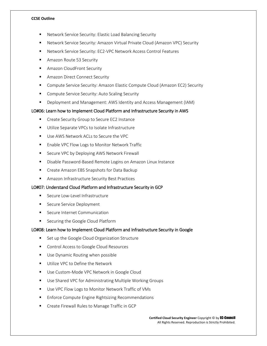- Network Service Security: Elastic Load Balancing Security
- Network Service Security: Amazon Virtual Private Cloud (Amazon VPC) Security
- Network Service Security: EC2-VPC Network Access Control Features
- **Amazon Route 53 Security**
- **Amazon CloudFront Security**
- **Amazon Direct Connect Security**
- Compute Service Security: Amazon Elastic Compute Cloud (Amazon EC2) Security
- **Compute Service Security: Auto Scaling Security**
- Deployment and Management: AWS Identity and Access Management (IAM)

## LO#06: Learn how to Implement Cloud Platform and Infrastructure Security in AWS

- **EXEC** Create Security Group to Secure EC2 Instance
- **Utilize Separate VPCs to Isolate Infrastructure**
- Use AWS Network ACLs to Secure the VPC
- Enable VPC Flow Logs to Monitor Network Traffic
- **EXECUTE VPC by Deploying AWS Network Firewall**
- Disable Password-Based Remote Logins on Amazon Linux Instance
- **E** Create Amazon EBS Snapshots for Data Backup
- **Amazon Infrastructure Security Best Practices**

# LO#07: Understand Cloud Platform and Infrastructure Security in GCP

- Secure Low-Level Infrastructure
- Secure Service Deployment
- Secure Internet Communication
- Securing the Google Cloud Platform

#### LO#08: Learn how to Implement Cloud Platform and Infrastructure Security in Google

- Set up the Google Cloud Organization Structure
- **Control Access to Google Cloud Resources**
- Use Dynamic Routing when possible
- **Utilize VPC to Define the Network**
- **Use Custom-Mode VPC Network in Google Cloud**
- **Use Shared VPC for Administrating Multiple Working Groups**
- Use VPC Flow Logs to Monitor Network Traffic of VMs
- Enforce Compute Engine Rightsizing Recommendations
- **EXECT** Create Firewall Rules to Manage Traffic in GCP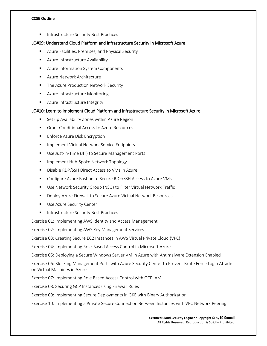**Infrastructure Security Best Practices** 

# LO#09: Understand Cloud Platform and Infrastructure Security in Microsoft Azure

- **Azure Facilities, Premises, and Physical Security**
- **Azure Infrastructure Availability**
- **Azure Information System Components**
- **Azure Network Architecture**
- **The Azure Production Network Security**
- **Azure Infrastructure Monitoring**
- **Azure Infrastructure Integrity**

# LO#10: Learn to Implement Cloud Platform and Infrastructure Security in Microsoft Azure

- **Set up Availability Zones within Azure Region**
- Grant Conditional Access to Azure Resources
- **Enforce Azure Disk Encryption**
- **Implement Virtual Network Service Endpoints**
- **Use Just-in-Time (JIT) to Secure Management Ports**
- **IMPLEMENT Hub-Spoke Network Topology**
- **Disable RDP/SSH Direct Access to VMs in Azure**
- Configure Azure Bastion to Secure RDP/SSH Access to Azure VMs
- Use Network Security Group (NSG) to Filter Virtual Network Traffic
- **Deploy Azure Firewall to Secure Azure Virtual Network Resources**
- **Use Azure Security Center**
- **Infrastructure Security Best Practices**

Exercise 01: Implementing AWS Identity and Access Management

Exercise 02: Implementing AWS Key Management Services

Exercise 03: Creating Secure EC2 Instances in AWS Virtual Private Cloud (VPC)

Exercise 04: Implementing Role-Based Access Control in Microsoft Azure

Exercise 05: Deploying a Secure Windows Server VM in Azure with Antimalware Extension Enabled

Exercise 06: Blocking Management Ports with Azure Security Center to Prevent Brute Force Login Attacks on Virtual Machines in Azure

Exercise 07: Implementing Role Based Access Control with GCP IAM

Exercise 08: Securing GCP Instances using Firewall Rules

Exercise 09: Implementing Secure Deployments in GKE with Binary Authorization

Exercise 10: Implementing a Private Secure Connection Between Instances with VPC Network Peering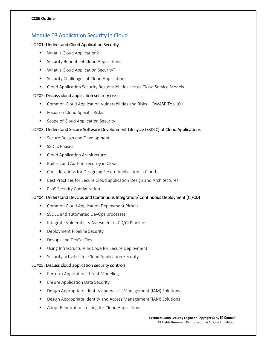# Module 03 Application Security in Cloud

# LO#01: Understand Cloud Application Security

- **What is Cloud Application?**
- **EXECURITY Benefits of Cloud Applications**
- **What is Cloud Application Security?**
- **EXECUTE:** Security Challenges of Cloud Applications
- **E** Cloud Application Security Responsibilities across Cloud Service Models

# LO#02: Discuss cloud application security risks

- Common Cloud Application Vulnerabilities and Risks OWASP Top 10
- **Focus on Cloud-Specific Risks**
- Scope of Cloud Application Security

# LO#03: Understand Secure Software Development Lifecycle (SSDLC) of Cloud Applications

- Secure Design and Development
- **SSDLC Phases**
- **Cloud Application Architecture**
- **Built-in and Add-on Security in Cloud**
- **EXECONS** Considerations for Designing Secure Application in Cloud
- Best Practices for Secure Cloud application Design and Architectures
- **PaaS Security Configuration**

# LO#04: Understand DevOps and Continuous Integration/ Continuous Deployment (CI/CD)

- **E** Common Cloud Application Deployment Pitfalls
- SSDLC and automated DevOps processes
- **Integrate Vulnerability Assesment in CD/CI Pipeline**
- **Deployment Pipeline Security**
- **Devops and DevSecOps**
- Using Infrastructure as Code for Secure Deployment
- **EXECURITY Security activities for Cloud Application Security**

# LO#05: Discuss cloud application security controls

- Perform Application Threat Modeling
- Ensure Application Data Security
- Design Appropriate Identity and Access Management (IAM) Solutions
- Design Appropriate Identity and Access Management (IAM) Solutions
- **Adopt Penetration Testing for Cloud Applications**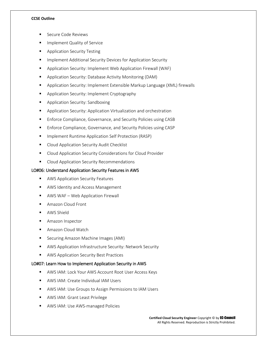- Secure Code Reviews
- Implement Quality of Service
- Application Security Testing
- **IMPLEMENTE Anditional Security Devices for Application Security**
- **Application Security: Implement Web Application Firewall (WAF)**
- **Application Security: Database Activity Monitoring (DAM)**
- Application Security: Implement Extensible Markup Language (XML) firewalls
- Application Security: Implement Cryptography
- **Application Security: Sandboxing**
- **Application Security: Application Virtualization and orchestration**
- **Enforce Compliance, Governance, and Security Policies using CASB**
- **Enforce Compliance, Governance, and Security Policies using CASP**
- **IMPLEMENT RUNTED Application Self Protection (RASP)**
- **E** Cloud Application Security Audit Checklist
- **E** Cloud Application Security Considerations for Cloud Provider
- **Cloud Application Security Recommendations**

# LO#06: Understand Application Security Features in AWS

- **AWS Application Security Features**
- **AWS Identity and Access Management**
- AWS WAF Web Application Firewall
- **Amazon Cloud Front**
- **AWS Shield**
- **Amazon Inspector**
- Amazon Cloud Watch
- **Securing Amazon Machine Images (AMI)**
- AWS Application Infrastructure Security: Network Security
- **AWS Application Security Best Practices**

# LO#07: Learn How to Implement Application Security in AWS

- AWS IAM: Lock Your AWS Account Root User Access Keys
- **AWS IAM: Create Individual IAM Users**
- AWS IAM: Use Groups to Assign Permissions to IAM Users
- AWS IAM: Grant Least Privilege
- **AWS IAM: Use AWS-managed Policies**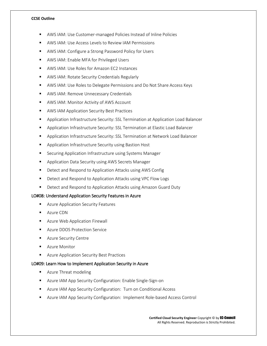- AWS IAM: Use Customer-managed Policies Instead of Inline Policies
- AWS IAM: Use Access Levels to Review IAM Permissions
- AWS IAM: Configure a Strong Password Policy for Users
- AWS IAM: Enable MFA for Privileged Users
- AWS IAM: Use Roles for Amazon EC2 Instances
- **AWS IAM: Rotate Security Credentials Regularly**
- AWS IAM: Use Roles to Delegate Permissions and Do Not Share Access Keys
- **AWS IAM: Remove Unnecessary Credentials**
- AWS IAM: Monitor Activity of AWS Account
- **AWS IAM Application Security Best Practices**
- **Application Infrastructure Security: SSL Termination at Application Load Balancer**
- Application Infrastructure Security: SSL Termination at Elastic Load Balancer
- Application Infrastructure Security: SSL Termination at Network Load Balancer
- Application Infrastructure Security using Bastion Host
- **E** Securing Application Infrastructure using Systems Manager
- **Application Data Security using AWS Secrets Manager**
- **Detect and Respond to Application Attacks using AWS Config**
- Detect and Respond to Application Attacks using VPC Flow Logs
- **Detect and Respond to Application Attacks using Amazon Guard Duty**

## LO#08: Understand Application Security Features in Azure

- **Azure Application Security Features**
- **Azure CDN**
- **Azure Web Application Firewall**
- **Azure DDOS Protection Service**
- **Azure Security Centre**
- **Azure Monitor**
- **Azure Application Security Best Practices**

#### LO#09: Learn How to Implement Application Security in Azure

- **Azure Threat modeling**
- Azure IAM App Security Configuration: Enable Single-Sign-on
- **Azure IAM App Security Configuration: Turn on Conditional Access**
- Azure IAM App Security Configuration: Implement Role-based Access Control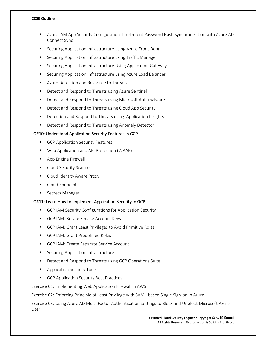- Azure IAM App Security Configuration: Implement Password Hash Synchronization with Azure AD Connect Sync
- **EXECUTE:** Securing Application Infrastructure using Azure Front Door
- **E** Securing Application Infrastructure using Traffic Manager
- **E** Securing Application Infrastructure Using Application Gateway
- **Securing Application Infrastructure using Azure Load Balancer**
- **Azure Detection and Response to Threats**
- **•** Detect and Respond to Threats using Azure Sentinel
- **Detect and Respond to Threats using Microsoft Anti-malware**
- **•** Detect and Respond to Threats using Cloud App Security
- **•** Detection and Respond to Threats using Application Insights
- **Detect and Respond to Threats using Anomaly Detector**

# LO#10: Understand Application Security Features in GCP

- GCP Application Security Features
- Web Application and API Protection (WAAP)
- **App Engine Firewall**
- **Cloud Security Scanner**
- **Cloud Identity Aware Proxy**
- **Cloud Endpoints**
- **Secrets Manager**

# LO#11: Learn How to Implement Application Security in GCP

- GCP IAM Security Configurations for Application Security
- GCP IAM: Rotate Service Account Keys
- GCP IAM: Grant Least Privileges to Avoid Primitive Roles
- GCP IAM: Grant Predefined Roles
- GCP IAM: Create Separate Service Account
- **Securing Application Infrastructure**
- **•** Detect and Respond to Threats using GCP Operations Suite
- **Application Security Tools**
- GCP Application Security Best Practices

Exercise 01: Implementing Web Application Firewall in AWS

Exercise 02: Enforcing Principle of Least Privilege with SAML-based Single Sign-on in Azure

Exercise 03: Using Azure AD Multi-Factor Authentication Settings to Block and Unblock Microsoft Azure User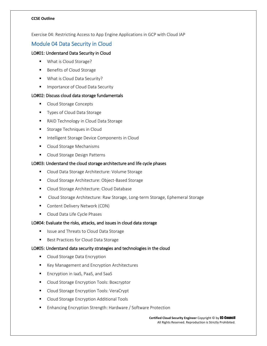Exercise 04: Restricting Access to App Engine Applications in GCP with Cloud IAP

# Module 04 Data Security in Cloud

# LO#01: Understand Data Security in Cloud

- What is Cloud Storage?
- Benefits of Cloud Storage
- **What is Cloud Data Security?**
- **Importance of Cloud Data Security**

# LO#02: Discuss cloud data storage fundamentals

- Cloud Storage Concepts
- **Types of Cloud Data Storage**
- **RAID Technology in Cloud Data Storage**
- **Storage Techniques in Cloud**
- **Intelligent Storage Device Components in Cloud**
- **Cloud Storage Mechanisms**
- Cloud Storage Design Patterns

# LO#03: Understand the cloud storage architecture and life cycle phases

- **Cloud Data Storage Architecture: Volume Storage**
- **Cloud Storage Architecture: Object-Based Storage**
- **Cloud Storage Architecture: Cloud Database**
- **Cloud Storage Architecture: Raw Storage, Long-term Storage, Ephemeral Storage**
- **Content Delivery Network (CDN)**
- Cloud Data Life Cycle Phases

# LO#04: Evaluate the risks, attacks, and issues in cloud data storage

- Issue and Threats to Cloud Data Storage
- Best Practices for Cloud Data Storage

# LO#05: Understand data security strategies and technologies in the cloud

- Cloud Storage Data Encryption
- Key Management and Encryption Architectures
- **Encryption in IaaS, PaaS, and SaaS**
- **Cloud Storage Encryption Tools: Boxcryptor**
- **Cloud Storage Encryption Tools: VeraCrypt**
- **Cloud Storage Encryption Additional Tools**
- **Enhancing Encryption Strength: Hardware / Software Protection**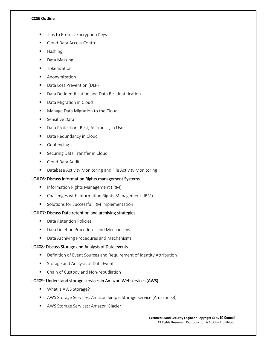- Tips to Protect Encryption Keys
- Cloud Data Access Control
- **Hashing**
- Data Masking
- **Tokenization**
- **Anonymization**
- Data Loss Prevention (DLP)
- Data De-Identification and Data Re-Identification
- Data Migration in Cloud
- **Manage Data Migration to the Cloud**
- **E** Sensitive Data
- **Data Protection (Rest, At Transit, In Use)**
- **Data Redundancy in Cloud**
- **Geofencing**
- **Securing Data Transfer in Cloud**
- **Cloud Data Audit**
- **Database Activity Monitoring and File Activity Monitoring**

# LO# 06: Discuss Information Rights management Systems

- **Information Rights Management (IRM)**
- Challenges with Information Rights Management (IRM)
- **Solutions for Successful IRM Implementation**

# LO# 07: Discuss Data retention and archiving strategies

- **•** Data Retention Policies
- Data Deletion Procedures and Mechanisms
- Data Archiving Procedures and Mechanisms

# LO#08: Discuss Storage and Analysis of Data events

- Definition of Event Sources and Requirement of Identity Attribution
- **Storage and Analysis of Data Events**
- Chain of Custody and Non-repudiation

# LO#09: Understand storage services in Amazon Webservices (AWS)

- What is AWS Storage?
- AWS Storage Services: Amazon Simple Storage Service (Amazon S3)
- **AWS Storage Services: Amazon Glacier**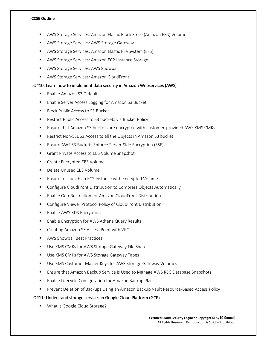- AWS Storage Services: Amazon Elastic Block Store (Amazon EBS) Volume
- AWS Storage Services: AWS Storage Gateway
- AWS Storage Services: Amazon Elastic File System (EFS)
- **AWS Storage Services: Amazon EC2 Instance Storage**
- **AWS Storage Services: AWS Snowball**
- **AWS Storage Services: Amazon CloudFront**

# LO#10: Learn how to implement data security in Amazon Webservices (AWS)

- Enable Amazon S3 Default
- **Enable Server Access Logging for Amazon S3 Bucket**
- Block Public Access to S3 Bucket
- Restrict Public Access to S3 buckets via Bucket Policy
- Ensure that Amazon S3 buckets are encrypted with customer-provided AWS KMS CMKs
- Restrict Non-SSL S3 Access to all the Objects in Amazon S3 bucket
- Ensure AWS S3 Buckets Enforce Server-Side Encryption (SSE)
- Grant Private Access to EBS Volume Snapshot
- **EXECR** Create Encrypted EBS Volume
- Delete Unused EBS Volume
- **Ensure to Launch an EC2 Instance with Encrypted Volume**
- Configure CloudFront Distribution to Compress Objects Automatically
- Enable Geo-Restriction for Amazon CloudFront Distribution
- **E** Configure Viewer Protocol Policy of CloudFront Distribution
- **Enable AWS RDS Encryption**
- **Enable Encryption for AWS Athena Query Results**
- **F** Creating Amazon S3 Access Point with VPC
- AWS Snowball Best Practices
- Use KMS CMKs for AWS Storage Gateway File Shares
- Use KMS CMKs for AWS Storage Gateway Tapes
- **Use KMS Customer Master Keys for AWS Storage Gateway Volumes**
- Ensure that Amazon Backup Service is Used to Manage AWS RDS Database Snapshots
- **Enable Lifecycle Configuration for Amazon Backup Plan**
- **Pherent Deletion of Backups Using an Amazon Backup Vault Resource-Based Access Policy**

# LO#11: Understand storage services in Google Cloud Platform (GCP)

**What is Google Cloud Storage?**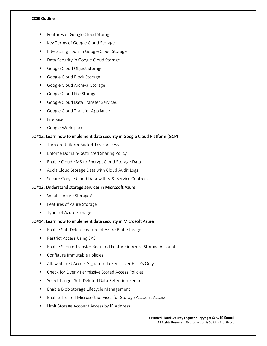- Features of Google Cloud Storage
- Key Terms of Google Cloud Storage
- **Interacting Tools in Google Cloud Storage**
- **Data Security in Google Cloud Storage**
- **Google Cloud Object Storage**
- Google Cloud Block Storage
- Google Cloud Archival Storage
- Google Cloud File Storage
- Google Cloud Data Transfer Services
- Google Cloud Transfer Appliance
- **Firebase**
- **Google Workspace**

#### LO#12: Learn how to implement data security in Google Cloud Platform (GCP)

- **Turn on Uniform Bucket-Level Access**
- Enforce Domain-Restricted Sharing Policy
- **Enable Cloud KMS to Encrypt Cloud Storage Data**
- Audit Cloud Storage Data with Cloud Audit Logs
- **E** Secure Google Cloud Data with VPC Service Controls

# LO#13: Understand storage services in Microsoft Azure

- What is Azure Storage?
- **Features of Azure Storage**
- **Types of Azure Storage**

# LO#14: Learn how to implement data security in Microsoft Azure

- Enable Soft Delete Feature of Azure Blob Storage
- Restrict Access Using SAS
- Enable Secure Transfer Required Feature in Azure Storage Account
- Configure Immutable Policies
- **Allow Shared Access Signature Tokens Over HTTPS Only**
- **EXECUTE: Check for Overly Permissive Stored Access Policies**
- **Select Longer Soft Deleted Data Retention Period**
- **Enable Blob Storage Lifecycle Management**
- Enable Trusted Microsoft Services for Storage Account Access
- Limit Storage Account Access by IP Address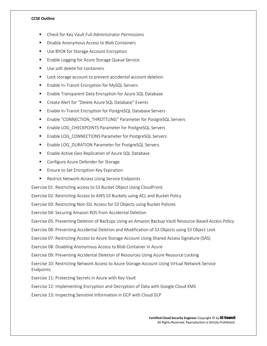- Check for Key Vault Full Administrator Permissions
- Disable Anonymous Access to Blob Containers
- Use BYOK for Storage Account Encryption
- **Enable Logging for Azure Storage Queue Service**
- Use soft delete for containers
- Lock storage account to prevent accidental account deletion
- **Enable In-Transit Encryption for MySQL Servers**
- Enable Transparent Data Encryption for Azure SQL Database
- Create Alert for "Delete Azure SQL Database" Events
- Enable In-Transit Encryption for PostgreSQL Database Servers
- Enable "CONNECTION\_THROTTLING" Parameter for PostgreSQL Servers
- **Enable LOG\_CHECKPOINTS Parameter for PostgreSQL Servers**
- Enable LOG\_CONNECTIONS Parameter for PostgreSQL Servers
- Enable LOG\_DURATION Parameter for PostgreSQL Servers
- Enable Active Geo-Replication of Azure SQL Database
- **EXECONFIGURE Azure Defender for Storage**
- **Ensure to Set Encryption Key Expiration**
- Restrict Network Access Using Service Endpoints

Exercise 01: Restricting access to S3 Bucket Object Using CloudFront

Exercise 02: Restricting Access to AWS S3 Buckets using ACL and Bucket Policy

Exercise 03: Restricting Non-SSL Access for S3 Objects using Bucket Policies

Exercise 04: Securing Amazon RDS from Accidental Deletion

Exercise 05: Preventing Deletion of Backups Using an Amazon Backup Vault Resource-Based Access Policy

Exercise 06: Preventing Accidental Deletion and Modification of S3 Objects using S3 Object Lock

Exercise 07: Restricting Access to Azure Storage Account Using Shared Access Signature (SAS)

Exercise 08: Disabling Anonymous Access to Blob Container in Azure

Exercise 09: Preventing Accidental Deletion of Resources Using Azure Resource Locking

Exercise 10: Restricting Network Access to Azure Storage Account Using Virtual Network Service Endpoints

Exercise 11: Protecting Secrets in Azure with Key Vault

Exercise 12: Implementing Encryption and Decryption of Data with Google Cloud KMS

Exercise 13: Inspecting Sensitive Information in GCP with Cloud DLP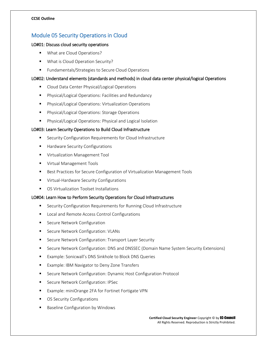# Module 05 Security Operations in Cloud

# LO#01: Discuss cloud security operations

- **What are Cloud Operations?**
- **What is Cloud Operation Security?**
- **Fundamentals/Strategies to Secure Cloud Operations**

# LO#02: Understand elements (standards and methods) in cloud data center physical/logical Operations

- Cloud Data Center Physical/Logical Operations
- Physical/Logical Operations: Facilities and Redundancy
- **Physical/Logical Operations: Virtualization Operations**
- **Physical/Logical Operations: Storage Operations**
- Physical/Logical Operations: Physical and Logical Isolation

# LO#03: Learn Security Operations to Build Cloud Infrastructure

- **EXECURITY Configuration Requirements for Cloud Infrastructure**
- **Hardware Security Configurations**
- **Virtualization Management Tool**
- **Virtual Management Tools**
- **Best Practices for Secure Configuration of Virtualization Management Tools**
- **UPICA** Virtual-Hardware Security Configurations
- **OS Virtualization Toolset Installations**

# LO#04: Learn How to Perform Security Operations for Cloud Infrastructures

- **EXECUTE Security Configuration Requirements for Running Cloud Infrastructure**
- **Local and Remote Access Control Configurations**
- **EXECUTE Network Configuration**
- **Secure Network Configuration: VLANs**
- **Secure Network Configuration: Transport Layer Security**
- **Secure Network Configuration: DNS and DNSSEC (Domain Name System Security Extensions)**
- **Example: Sonicwall's DNS Sinkhole to Block DNS Queries**
- **Example: IBM Navigator to Deny Zone Transfers**
- **E** Secure Network Configuration: Dynamic Host Configuration Protocol
- **Secure Network Configuration: IPSec**
- Example: miniOrange 2FA for Fortinet Fortigate VPN
- **OS Security Configurations**
- **Baseline Configuration by Windows**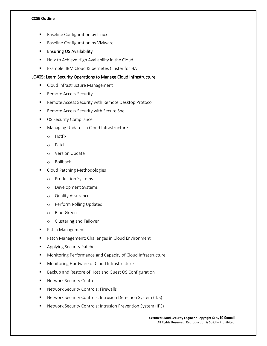- Baseline Configuration by Linux
- Baseline Configuration by VMware
- **Ensuring OS Availability**
- How to Achieve High Availability in the Cloud
- **Example: IBM Cloud Kubernetes Cluster for HA**

## LO#05: Learn Security Operations to Manage Cloud Infrastructure

- **Cloud Infrastructure Management**
- **Remote Access Security**
- **Remote Access Security with Remote Desktop Protocol**
- Remote Access Security with Secure Shell
- **OS Security Compliance**
- **Managing Updates in Cloud Infrastructure** 
	- o Hotfix
	- o Patch
	- o Version Update
	- o Rollback
- Cloud Patching Methodologies
	- o Production Systems
	- o Development Systems
	- o Quality Assurance
	- o Perform Rolling Updates
	- o Blue-Green
	- o Clustering and Failover
- Patch Management
- **Patch Management: Challenges in Cloud Environment**
- **Applying Security Patches**
- Monitoring Performance and Capacity of Cloud Infrastructure
- **Monitoring Hardware of Cloud Infrastructure**
- Backup and Restore of Host and Guest OS Configuration
- **Network Security Controls**
- **Network Security Controls: Firewalls**
- Network Security Controls: Intrusion Detection System (IDS)
- Network Security Controls: Intrusion Prevention System (IPS)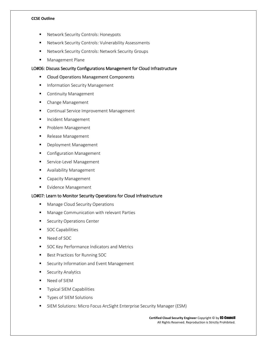- Network Security Controls: Honeypots
- Network Security Controls: Vulnerability Assessments
- **Network Security Controls: Network Security Groups**
- **Management Plane**

# LO#06: Discuss Security Configurations Management for Cloud Infrastructure

- **E** Cloud Operations Management Components
- **Information Security Management**
- **Continuity Management**
- Change Management
- **Continual Service Improvement Management**
- **Incident Management**
- **Problem Management**
- Release Management
- **Deployment Management**
- **E** Configuration Management
- **Service-Level Management**
- **Availability Management**
- **Capacity Management**
- **Evidence Management**

#### LO#07: Learn to Monitor Security Operations for Cloud Infrastructure

- **Manage Cloud Security Operations**
- **Manage Communication with relevant Parties**
- **Security Operations Center**
- **SOC Capabilities**
- Need of SOC
- **SOC Key Performance Indicators and Metrics**
- Best Practices for Running SOC
- **EXECURY INFORMATION AND EVENT Management**
- **Security Analytics**
- Need of SIEM
- Typical SIEM Capabilities
- Types of SIEM Solutions
- SIEM Solutions: Micro Focus ArcSight Enterprise Security Manager (ESM)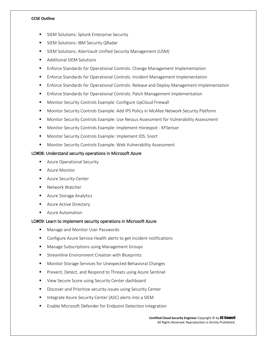- SIEM Solutions: Splunk Enterprise Security
- SIEM Solutions: IBM Security QRadar
- SIEM Solutions: AlienVault Unified Security Management (USM)
- **Additional SIEM Solutions**
- **Enforce Standards for Operational Controls: Change Management Implementation**
- **Enforce Standards for Operational Controls: Incident Management Implementation**
- Enforce Standards for Operational Controls: Release and Deploy Management Implementation
- Enforce Standards for Operational Controls: Patch Management Implementation
- **Monitor Security Controls Example: Configure UpCloud Firewall**
- **Monitor Security Controls Example: Add IPS Policy in McAfee Network Security Platform**
- **Monitor Security Controls Example: Use Nessus Assessment for Vulnerability Assessment**
- Monitor Security Controls Example: Implement Honeypot KFSensor
- **Monitor Security Controls Example: Implement IDS: Snort**
- Monitor Security Controls Example: Web Vulnerability Assessment

# LO#08: Understand security operations in Microsoft Azure

- **Azure Operational Security**
- Azure Monitor
- **Azure Security Center**
- Network Watcher
- **Azure Storage Analytics**
- Azure Active Directory
- **Azure Automation**

# LO#09: Learn to implement security operations in Microsoft Azure

- Manage and Monitor User Passwords
- Configure Azure Service Health alerts to get incident notifications
- Manage Subscriptions using Management Groups
- Streamline Environment Creation with Blueprints
- **Monitor Storage Services for Unexpected Behavioral Changes**
- **Prevent, Detect, and Respond to Threats using Azure Sentinel**
- View Secure Score using Security Center dashboard
- **Discover and Prioritize security issues using Security Center**
- Integrate Azure Security Center (ASC) alerts into a SIEM
- Enable Microsoft Defender for Endpoint Detection Integration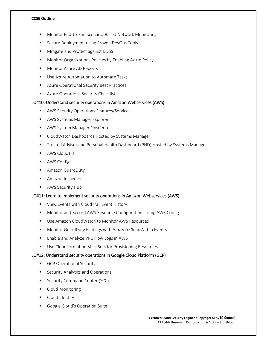- Monitor End-to-End Scenario-Based Network Monitoring
- Secure Deployment using Proven DevOps Tools
- **Mitigate and Protect against DDoS**
- **Monitor Organizations Policies by Enabling Azure Policy**
- **Monitor Azure AD Reports**
- **Use Azure Automation to Automate Tasks**
- **Azure Operational Security Best Practices**
- **Azure Operations Security Checklist**

#### LO#10: Understand security operations in Amazon Webservices (AWS)

- **AWS Security Operations Features/Services**
- AWS Systems Manager Explorer
- **AWS System Manager OpsCenter**
- **E** CloudWatch Dashboards Hosted by Systems Manager
- Trusted Advisor and Personal Health Dashboard (PHD) Hosted by Systems Manager
- **AWS CloudTrail**
- **AWS Config**
- **Amazon GuardDuty**
- **Amazon Inspector**
- AWS Security Hub

#### LO#11: Learn to implement security operations in Amazon Webservices (AWS)

- **URIDE:** View Events with CloudTrail Event History
- Monitor and Record AWS Resource Configurations using AWS Config
- Use Amazon CloudWatch to Monitor AWS Resources
- Monitor GuardDuty Findings with Amazon CloudWatch Events
- **Enable and Analyze VPC Flow Logs in AWS**
- **Use CloudFormation StackSets for Provisioning Resources**

# LO#12: Understand security operations in Google Cloud Platform (GCP)

- GCP Operational Security
- **Security Analytics and Operations**
- **Security Command Center (SCC)**
- **Cloud Monitoring**
- Cloud Identity
- Google Cloud's Operation Suite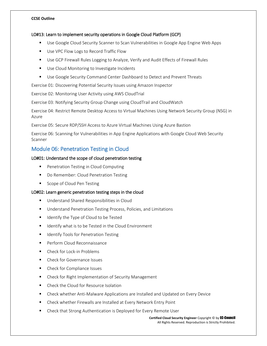# LO#13: Learn to implement security operations in Google Cloud Platform (GCP)

- **Use Google Cloud Security Scanner to Scan Vulnerabilities in Google App Engine Web Apps**
- Use VPC Flow Logs to Record Traffic Flow
- Use GCP Firewall Rules Logging to Analyze, Verify and Audit Effects of Firewall Rules
- **Use Cloud Monitoring to Investigate Incidents**
- **Use Google Security Command Center Dashboard to Detect and Prevent Threats**

Exercise 01: Discovering Potential Security Issues using Amazon Inspector

Exercise 02: Monitoring User Activity using AWS CloudTrial

Exercise 03: Notifying Security Group Change using CloudTrail and CloudWatch

Exercise 04: Restrict Remote Desktop Access to Virtual Machines Using Network Security Group (NSG) in Azure

Exercise 05: Secure RDP/SSH Access to Azure Virtual Machines Using Azure Bastion

Exercise 06: Scanning for Vulnerabilities in App Engine Applications with Google Cloud Web Security Scanner

# Module 06: Penetration Testing in Cloud

# LO#01: Understand the scope of cloud penetration testing

- **Penetration Testing in Cloud Computing**
- Do Remember: Cloud Penetration Testing
- Scope of Cloud Pen Testing

# LO#02: Learn generic penetration testing steps in the cloud

- Understand Shared Responsibilities in Cloud
- **Understand Penetration Testing Process, Policies, and Limitations**
- Identify the Type of Cloud to be Tested
- Identify what is to be Tested in the Cloud Environment
- **If** Identify Tools for Penetration Testing
- **Perform Cloud Reconnaissance**
- Check for Lock-in Problems
- Check for Governance Issues
- Check for Compliance Issues
- **E** Check for Right Implementation of Security Management
- Check the Cloud for Resource Isolation
- Check whether Anti-Malware Applications are Installed and Updated on Every Device
- **EXECO EXECT** Check whether Firewalls are Installed at Every Network Entry Point
- Check that Strong Authentication is Deployed for Every Remote User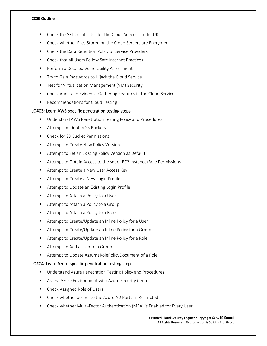- Check the SSL Certificates for the Cloud Services in the URL
- Check whether Files Stored on the Cloud Servers are Encrypted
- Check the Data Retention Policy of Service Providers
- Check that all Users Follow Safe Internet Practices
- **Perform a Detailed Vulnerability Assessment**
- **Try to Gain Passwords to Hijack the Cloud Service**
- Test for Virtualization Management (VM) Security
- Check Audit and Evidence-Gathering Features in the Cloud Service
- **Recommendations for Cloud Testing**

#### LO#03: Learn AWS-specific penetration testing steps

- **Understand AWS Penetration Testing Policy and Procedures**
- Attempt to Identify S3 Buckets
- Check for S3 Bucket Permissions
- **Attempt to Create New Policy Version**
- **Attempt to Set an Existing Policy Version as Default**
- Attempt to Obtain Access to the set of EC2 Instance/Role Permissions
- **Attempt to Create a New User Access Key**
- Attempt to Create a New Login Profile
- Attempt to Update an Existing Login Profile
- Attempt to Attach a Policy to a User
- Attempt to Attach a Policy to a Group
- Attempt to Attach a Policy to a Role
- Attempt to Create/Update an Inline Policy for a User
- Attempt to Create/Update an Inline Policy for a Group
- Attempt to Create/Update an Inline Policy for a Role
- Attempt to Add a User to a Group
- Attempt to Update AssumeRolePolicyDocument of a Role

#### LO#04: Learn Azure-specific penetration testing steps

- **Understand Azure Penetration Testing Policy and Procedures**
- Assess Azure Environment with Azure Security Center
- Check Assigned Role of Users
- Check whether access to the Azure AD Portal is Restricted
- Check whether Multi-Factor Authentication (MFA) is Enabled for Every User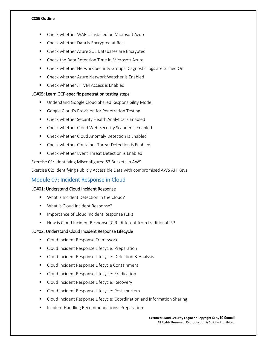- Check whether WAF is installed on Microsoft Azure
- Check whether Data is Encrypted at Rest
- Check whether Azure SQL Databases are Encrypted
- Check the Data Retention Time in Microsoft Azure
- Check whether Network Security Groups Diagnostic logs are turned On
- **EXECT** Check whether Azure Network Watcher is Enabled
- Check whether JIT VM Access is Enabled

# LO#05: Learn GCP-specific penetration testing steps

- **Understand Google Cloud Shared Responsibility Model**
- Google Cloud's Provision for Penetration Testing
- Check whether Security Health Analytics is Enabled
- Check whether Cloud Web Security Scanner is Enabled
- **E** Check whether Cloud Anomaly Detection is Enabled
- Check whether Container Threat Detection is Enabled
- Check whether Event Threat Detection is Enabled

Exercise 01: Identifying Misconfigured S3 Buckets in AWS

Exercise 02: Identifying Publicly Accessible Data with compromised AWS API Keys

# Module 07: Incident Response in Cloud

# LO#01: Understand Cloud Incident Response

- **What is Incident Detection in the Cloud?**
- **What is Cloud Incident Response?**
- **IMPORTANCE OF Cloud Incident Response (CIR)**
- How is Cloud Incident Response (CIR) different from traditional IR?

# LO#02: Understand Cloud Incident Response Lifecycle

- **EXECLOUD Incident Response Framework**
- **Cloud Incident Response Lifecycle: Preparation**
- **Cloud Incident Response Lifecycle: Detection & Analysis**
- **EXECL** Cloud Incident Response Lifecycle Containment
- **EXECLOUD Incident Response Lifecycle: Eradication**
- **Cloud Incident Response Lifecycle: Recovery**
- **Cloud Incident Response Lifecycle: Post-mortem**
- **E** Cloud Incident Response Lifecycle: Coordination and Information Sharing
- **Incident Handling Recommendations: Preparation**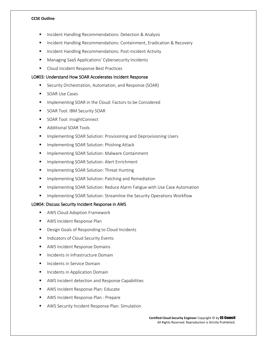- Incident Handling Recommendations: Detection & Analysis
- Incident Handling Recommendations: Containment, Eradication & Recovery
- **Incident Handling Recommendations: Post-incident Activity**
- Managing SaaS Applications' Cybersecurity Incidents
- **Cloud Incident Response Best Practices**

#### LO#03: Understand How SOAR Accelerates Incident Response

- Security Orchestration, Automation, and Response (SOAR)
- SOAR Use Cases
- Implementing SOAR in the Cloud: Factors to be Considered
- SOAR Tool: IBM Security SOAR
- SOAR Tool: InsightConnect
- **Additional SOAR Tools**
- Implementing SOAR Solution: Provisioning and Deprovisioning Users
- Implementing SOAR Solution: Phishing Attack
- **IMPLEMENTIFY Inc.** SOAR Solution: Malware Containment
- **IMPLEMENTION IN SOAR Solution: Alert Enrichment**
- Implementing SOAR Solution: Threat Hunting
- **IMPLEMENTIFY IMPLEM** SOAR Solution: Patching and Remediation
- **IMPLEM** Implementing SOAR Solution: Reduce Alarm Fatigue with Use Case Automation
- **IMPLEM** Implementing SOAR Solution: Streamline the Security Operations Workflow

#### LO#04: Discuss Security Incident Response in AWS

- AWS Cloud Adoption Framework
- **AWS Incident Response Plan**
- **Design Goals of Responding to Cloud Incidents**
- **Indicators of Cloud Security Events**
- AWS Incident Response Domains
- Incidents in Infrastructure Domain
- **Incidents in Service Domain**
- **Incidents in Application Domain**
- AWS Incident detection and Response Capabilities
- **AWS Incident Response Plan: Educate**
- AWS Incident Response Plan : Prepare
- AWS Security Incident Response Plan: Simulation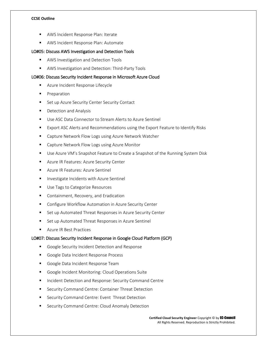- AWS Incident Response Plan: Iterate
- **AWS Incident Response Plan: Automate**

# LO#05: Discuss AWS Investigation and Detection Tools

- **AWS Investigation and Detection Tools**
- **AWS Investigation and Detection: Third-Party Tools**

## LO#06: Discuss Security Incident Response in Microsoft Azure Cloud

- **Azure Incident Response Lifecycle**
- **Preparation**
- **Set up Azure Security Center Security Contact**
- **Detection and Analysis**
- Use ASC Data Connector to Stream Alerts to Azure Sentinel
- **EXPORT ASC Alerts and Recommendations using the Export Feature to Identify Risks**
- Capture Network Flow Logs using Azure Network Watcher
- Capture Network Flow Logs using Azure Monitor
- **Use Azure VM's Snapshot Feature to Create a Snapshot of the Running System Disk**
- **Azure IR Features: Azure Security Center**
- **Azure IR Features: Azure Sentinel**
- **Investigate Incidents with Azure Sentinel**
- **Use Tags to Categorize Resources**
- **Containment, Recovery, and Eradication**
- **E** Configure Workflow Automation in Azure Security Center
- Set up Automated Threat Responses in Azure Security Center
- Set up Automated Threat Responses in Azure Sentinel
- **Azure IR Best Practices**

#### LO#07: Discuss Security Incident Response in Google Cloud Platform (GCP)

- Google Security Incident Detection and Response
- Google Data Incident Response Process
- Google Data Incident Response Team
- Google Incident Monitoring: Cloud Operations Suite
- **Incident Detection and Response: Security Command Centre**
- **E** Security Command Centre: Container Threat Detection
- Security Command Centre: Event Threat Detection
- Security Command Centre: Cloud Anomaly Detection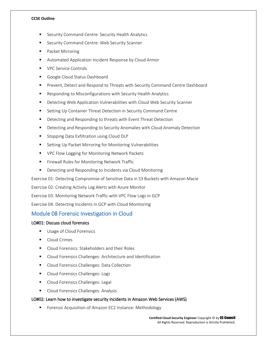- Security Command Centre: Security Health Analytics
- Security Command Centre: Web Security Scanner
- Packet Mirroring
- Automated Application Incident Response by Cloud Armor
- VPC Service Controls
- Google Cloud Status Dashboard
- Prevent, Detect and Respond to Threats with Security Command Centre Dashboard
- Responding to Misconfigurations with Security Health Analytics
- **•** Detecting Web Application Vulnerabilities with Cloud Web Security Scanner
- Setting Up Container Threat Detection in Security Command Centre
- **Detecting and Responding to threats with Event Threat Detection**
- **•** Detecting and Responding to Security Anomalies with Cloud Anomaly Detection
- Stopping Data Exfiltration using Cloud DLP
- Setting Up Packet Mirroring for Monitoring Vulnerabilities
- **VPC Flow Logging for Monitoring Network Packets**
- **Firewall Rules for Monitoring Network Traffic**
- **•** Detecting and Responding to Incidents via Cloud Monitoring

Exercise 01: Detecting Compromise of Sensitive Data in S3 Buckets with Amazon Macie

Exercise 02: Creating Activity Log Alerts with Azure Monitor

Exercise 03: Monitoring Network Traffic with VPC Flow Logs in GCP

Exercise 04: Detecting Incidents in GCP with Cloud Monitoring

# Module 08 Forensic Investigation in Cloud

#### LO#01: Discuss cloud forensics

- **Usage of Cloud Forensics**
- **Cloud Crimes**
- Cloud Forensics: Stakeholders and their Roles
- **Cloud Forensics Challenges: Architecture and Identification**
- **Cloud Forensics Challenges: Data Collection**
- **Cloud Forensics Challenges: Logs**
- **Cloud Forensics Challenges: Legal**
- **Cloud Forensics Challenges: Analysis**

# LO#02: Learn how to investigate security incidents in Amazon Web Services (AWS)

**F** Forensic Acquisition of Amazon EC2 Instance: Methodology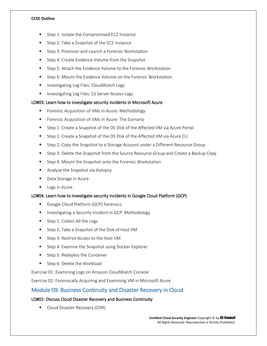- Step 1: Isolate the Compromised EC2 Instance
- Step 2: Take a Snapshot of the EC2 Instance
- **Step 3: Provision and Launch a Forensic Workstation**
- **Step 4: Create Evidence Volume from the Snapshot**
- Step 5: Attach the Evidence Volume to the Forensic Workstation
- **Step 6: Mount the Evidence Volume on the Forensic Workstation**
- Investigating Log Files: CloudWatch Logs
- **Investigating Log Files: S3 Server Access Logs**

#### LO#03: Learn how to investigate security incidents in Microsoft Azure

- Forensic Acquisition of VMs in Azure: Methodology
- **F** Forensic Acquisition of VMs in Azure: The Scenario
- Step 1: Create a Snapshot of the OS Disk of the Affected VM via Azure Portal
- Step 1: Create a Snapshot of the OS Disk of the Affected VM via Azure CLI
- Step 2: Copy the Snapshot to a Storage Account under a Different Resource Group
- Step 3: Delete the Snapshot from the Source Resource Group and Create a Backup Copy
- Step 4: Mount the Snapshot onto the Forensic Workstation
- **Analyze the Snapshot via Autopsy**
- Data Storage in Azure
- **Logs in Azure**

#### LO#04: Learn how to investigate security incidents in Google Cloud Platform (GCP)

- Google Cloud Platform (GCP) Forensics
- **Investigating a Security Incident in GCP: Methodology**
- Step 1: Collect All the Logs
- Step 2: Take a Snapshot of the Disk of Host VM
- Step 3: Restrict Access to the Host VM
- Step 4: Examine the Snapshot using Docker-Explorer
- Step 5: Redeploy the Container
- Step 6: Delete the Workload

Exercise 01: Examining Logs on Amazon CloudWatch Console

Exercise 02: Forensically Acquiring and Examining VM in Microsoft Azure

# Module 09: Business Continuity and Disaster Recovery in Cloud

# LO#01: Discuss Cloud Disaster Recovery and Business Continuity

**Cloud Disaster Recovery (CDR)**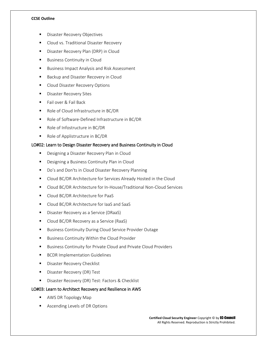- Disaster Recovery Objectives
- Cloud vs. Traditional Disaster Recovery
- **Disaster Recovery Plan (DRP) in Cloud**
- **Business Continuity in Cloud**
- **Business Impact Analysis and Risk Assessment**
- Backup and Disaster Recovery in Cloud
- **Cloud Disaster Recovery Options**
- **Disaster Recovery Sites**
- Fail over & Fail Back
- Role of Cloud Infrastructure in BC/DR
- Role of Software-Defined Infrastructure in BC/DR
- Role of Infostructure in BC/DR
- Role of Applistructure in BC/DR

# LO#02: Learn to Design Disaster Recovery and Business Continuity in Cloud

- **Designing a Disaster Recovery Plan in Cloud**
- **Designing a Business Continuity Plan in Cloud**
- Do's and Don'ts in Cloud Disaster Recovery Planning
- Cloud BC/DR Architecture for Services Already Hosted in the Cloud
- Cloud BC/DR Architecture for In-House/Traditional Non-Cloud Services
- **Cloud BC/DR Architecture for PaaS**
- Cloud BC/DR Architecture for laaS and SaaS
- **Disaster Recovery as a Service (DRaaS)**
- Cloud BC/DR Recovery as a Service (RaaS)
- **Business Continuity During Cloud Service Provider Outage**
- **Business Continuity Within the Cloud Provider**
- **Business Continuity for Private Cloud and Private Cloud Providers**
- **BCDR Implementation Guidelines**
- **Disaster Recovery Checklist**
- **Disaster Recovery (DR) Test**
- **Disaster Recovery (DR) Test: Factors & Checklist**

# LO#03: Learn to Architect Recovery and Resilience in AWS

- AWS DR Topology Map
- **Ascending Levels of DR Options**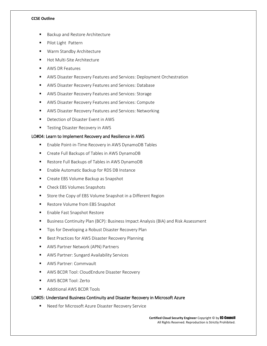- Backup and Restore Architecture
- Pilot Light Pattern
- **Warm Standby Architecture**
- Hot Multi-Site Architecture
- **AWS DR Features**
- AWS Disaster Recovery Features and Services: Deployment Orchestration
- AWS Disaster Recovery Features and Services: Database
- AWS Disaster Recovery Features and Services: Storage
- AWS Disaster Recovery Features and Services: Compute
- AWS Disaster Recovery Features and Services: Networking
- **•** Detection of Disaster Event in AWS
- **Testing Disaster Recovery in AWS**

# LO#04: Learn to Implement Recovery and Resilience in AWS

- Enable Point-in-Time Recovery in AWS DynamoDB Tables
- Create Full Backups of Tables in AWS DynamoDB
- Restore Full Backups of Tables in AWS DynamoDB
- **Enable Automatic Backup for RDS DB Instance**
- Create EBS Volume Backup as Snapshot
- **EXECUTE:** Check EBS Volumes Snapshots
- **Store the Copy of EBS Volume Snapshot in a Different Region**
- Restore Volume from EBS Snapshot
- **Enable Fast Snapshot Restore**
- Business Continuity Plan (BCP): Business Impact Analysis (BIA) and Risk Assessment
- **Tips for Developing a Robust Disaster Recovery Plan**
- Best Practices for AWS Disaster Recovery Planning
- AWS Partner Network (APN) Partners
- AWS Partner: Sungard Availability Services
- AWS Partner: Commvault
- **AWS BCDR Tool: CloudEndure Disaster Recovery**
- **AWS BCDR Tool: Zerto**
- **Additional AWS BCDR Tools**

# LO#05: Understand Business Continuity and Disaster Recovery in Microsoft Azure

■ Need for Microsoft Azure Disaster Recovery Service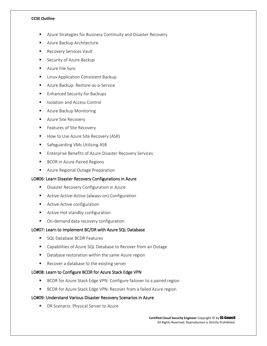- Azure Strategies for Business Continuity and Disaster Recovery
- Azure Backup Architecture
- Recovery Services Vault
- Security of Azure Backup
- **Azure File Sync**
- **E** Linux Application Consistent Backup
- Azure Backup: Restore-as-a-Service
- **Enhanced Security for Backups**
- Isolation and Access Control
- **Azure Backup Monitoring**
- **Azure Site Recovery**
- **Features of Site Recovery**
- How to Use Azure Site Recovery (ASR)
- **Safeguarding VMs Utilizing ASR**
- **Enterprise Benefits of Azure Disaster Recovery Services**
- **BCDR** in Azure Paired Regions
- **Azure Regional Outage Preparation**

# LO#06: Learn Disaster Recovery Configurations in Azure

- **Disaster Recovery Configuration in Azure**
- **E** Active-Active-Active (always-on) Configuration
- **Active-Active configuration**
- **Active-Hot standby configuration**
- **•** On-demand data recovery configuration

# LO#07: Learn to Implement BC/DR with Azure SQL Database

- **SQL Database BCDR Features**
- Capabilities of Azure SQL Database to Recover from an Outage
- Database restoration within the same Azure region
- Recover a database to the existing server

# LO#08: Learn to Configure BCDR for Azure Stack Edge VPN

- **BCDR** for Azure Stack Edge VPN: Configure failover to a paired region
- **BCDR** for Azure Stack Edge VPN: Recover from a failed Azure region

# LO#09: Understand Various Disaster Recovery Scenarios in Azure

**DR Scenario: Physical Server to Azure**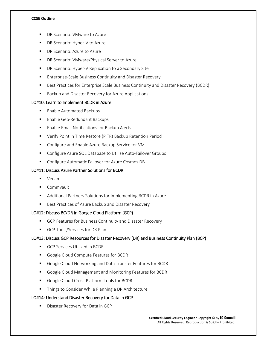- DR Scenario: VMware to Azure
- DR Scenario: Hyper-V to Azure
- **-** DR Scenario: Azure to Azure
- **DR Scenario: VMware/Physical Server to Azure**
- **DR Scenario: Hyper-V Replication to a Secondary Site**
- **Enterprise-Scale Business Continuity and Disaster Recovery**
- **Best Practices for Enterprise Scale Business Continuity and Disaster Recovery (BCDR)**
- **Backup and Disaster Recovery for Azure Applications**

# LO#10: Learn to Implement BCDR in Azure

- **Enable Automated Backups**
- **Enable Geo-Redundant Backups**
- **Enable Email Notifications for Backup Alerts**
- Verify Point in Time Restore (PITR) Backup Retention Period
- Configure and Enable Azure Backup Service for VM
- **EXP** Configure Azure SQL Database to Utilize Auto-Failover Groups
- **Configure Automatic Failover for Azure Cosmos DB**

# LO#11: Discuss Azure Partner Solutions for BCDR

- **veeam**
- **Commvault**
- Additional Partners Solutions for Implementing BCDR in Azure
- Best Practices of Azure Backup and Disaster Recovery

# LO#12: Discuss BC/DR in Google Cloud Platform (GCP)

- GCP Features for Business Continuity and Disaster Recovery
- GCP Tools/Services for DR Plan

# LO#13: Discuss GCP Resources for Disaster Recovery (DR) and Business Continuity Plan (BCP)

- GCP Services Utilized in BCDR
- Google Cloud Compute Features for BCDR
- Google Cloud Networking and Data Transfer Features for BCDR
- Google Cloud Management and Monitoring Features for BCDR
- Google Cloud Cross-Platform Tools for BCDR
- **Things to Consider While Planning a DR Architecture**

# LO#14: Understand Disaster Recovery for Data in GCP

**Disaster Recovery for Data in GCP**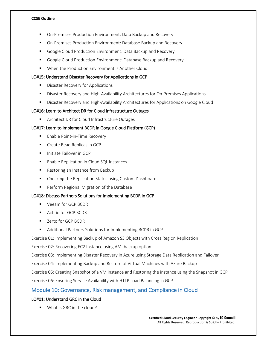- On-Premises Production Environment: Data Backup and Recovery
- On-Premises Production Environment: Database Backup and Recovery
- Google Cloud Production Environment: Data Backup and Recovery
- Google Cloud Production Environment: Database Backup and Recovery
- When the Production Environment is Another Cloud

## LO#15: Understand Disaster Recovery for Applications in GCP

- **Disaster Recovery for Applications**
- **EXP** Disaster Recovery and High-Availability Architectures for On-Premises Applications
- **EXECOVER ALCOVERY AND HIGH-AVAILABILITY Architectures for Applications on Google Cloud**

## LO#16: Learn to Architect DR for Cloud Infrastructure Outages

**EXECUTE:** Architect DR for Cloud Infrastructure Outages

# LO#17: Learn to Implement BCDR in Google Cloud Platform (GCP)

- **Enable Point-in-Time Recovery**
- **Create Read Replicas in GCP**
- **Initiate Failover in GCP**
- **Enable Replication in Cloud SQL Instances**
- Restoring an Instance from Backup
- Checking the Replication Status using Custom Dashboard
- **Perform Regional Migration of the Database**

# LO#18: Discuss Partners Solutions for Implementing BCDR in GCP

- Veeam for GCP BCDR
- **Actifio for GCP BCDR**
- Zerto for GCP BCDR
- Additional Partners Solutions for Implementing BCDR in GCP

Exercise 01: Implementing Backup of Amazon S3 Objects with Cross Region Replication

Exercise 02: Recovering EC2 Instance using AMI backup option

Exercise 03: Implementing Disaster Recovery in Azure using Storage Data Replication and Failover

Exercise 04: Implementing Backup and Restore of Virtual Machines with Azure Backup

Exercise 05: Creating Snapshot of a VM instance and Restoring the instance using the Snapshot in GCP

Exercise 06: Ensuring Service Availability with HTTP Load Balancing in GCP

# Module 10: Governance, Risk management, and Compliance in Cloud

# LO#01: Understand GRC in the Cloud

■ What is GRC in the cloud?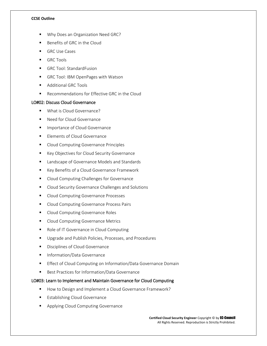- Why Does an Organization Need GRC?
- Benefits of GRC in the Cloud
- GRC Use Cases
- GRC Tools
- GRC Tool: StandardFusion
- GRC Tool: IBM OpenPages with Watson
- **Additional GRC Tools**
- Recommendations for Effective GRC in the Cloud

# LO#02: Discuss Cloud Governance

- **What is Cloud Governance?**
- Need for Cloud Governance
- **Importance of Cloud Governance**
- **Elements of Cloud Governance**
- **Cloud Computing Governance Principles**
- **EXEGY Objectives for Cloud Security Governance**
- **EXEC** Landscape of Governance Models and Standards
- Key Benefits of a Cloud Governance Framework
- **Cloud Computing Challenges for Governance**
- **Cloud Security Governance Challenges and Solutions**
- Cloud Computing Governance Processes
- **Cloud Computing Governance Process Pairs**
- **Cloud Computing Governance Roles**
- **E** Cloud Computing Governance Metrics
- Role of IT Governance in Cloud Computing
- **Upgrade and Publish Policies, Processes, and Procedures**
- **Disciplines of Cloud Governance**
- Information/Data Governance
- **Effect of Cloud Computing on Information/Data Governance Domain**
- Best Practices for Information/Data Governance

# LO#03: Learn to Implement and Maintain Governance for Cloud Computing

- How to Design and Implement a Cloud Governance Framework?
- Establishing Cloud Governance
- **Applying Cloud Computing Governance**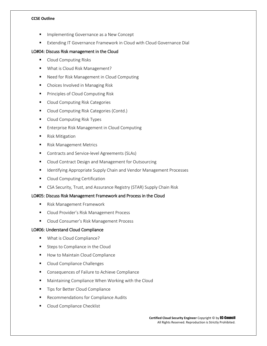- Implementing Governance as a New Concept
- Extending IT Governance Framework in Cloud with Cloud Governance Dial

## LO#04: Discuss Risk management in the Cloud

- **Cloud Computing Risks**
- **What is Cloud Risk Management?**
- Need for Risk Management in Cloud Computing
- Choices Involved in Managing Risk
- **Principles of Cloud Computing Risk**
- **E** Cloud Computing Risk Categories
- **Cloud Computing Risk Categories (Contd.)**
- Cloud Computing Risk Types
- **Enterprise Risk Management in Cloud Computing**
- Risk Mitigation
- Risk Management Metrics
- **Contracts and Service-level Agreements (SLAs)**
- Cloud Contract Design and Management for Outsourcing
- **If Identifying Appropriate Supply Chain and Vendor Management Processes**
- **Cloud Computing Certification**
- **EXP** CSA Security, Trust, and Assurance Registry (STAR) Supply Chain Risk

#### LO#05: Discuss Risk Management Framework and Process in the Cloud

- **Risk Management Framework**
- **E** Cloud Provider's Risk Management Process
- **Cloud Consumer's Risk Management Process**

#### LO#06: Understand Cloud Compliance

- **What is Cloud Compliance?**
- Steps to Compliance in the Cloud
- How to Maintain Cloud Compliance
- **Cloud Compliance Challenges**
- Consequences of Failure to Achieve Compliance
- **Maintaining Compliance When Working with the Cloud**
- **Tips for Better Cloud Compliance**
- Recommendations for Compliance Audits
- Cloud Compliance Checklist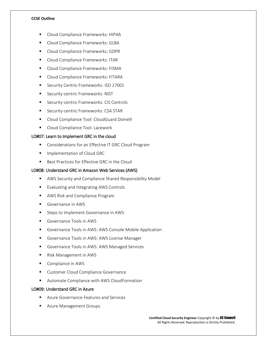- Cloud Compliance Frameworks: HIPAA
- Cloud Compliance Frameworks: GLBA
- **Cloud Compliance Frameworks: GDPR**
- **E** Cloud Compliance Frameworks: ITAR
- **Cloud Compliance Frameworks: FISMA**
- **Cloud Compliance Frameworks: FITARA**
- **Security Centric Frameworks: ISO 27001**
- **Security-centric Frameworks: NIST**
- **Security-centric Frameworks: CIS Controls**
- **Security-centric Frameworks: CSA STAR**
- Cloud Compliance Tool: CloudGuard Dome9
- **Cloud Compliance Tool: Lacework**

#### LO#07: Learn to Implement GRC in the cloud

- **Considerations for an Effective IT GRC Cloud Program**
- **Implementation of Cloud GRC**
- Best Practices for Effective GRC in the Cloud

## LO#08: Understand GRC in Amazon Web Services (AWS)

- AWS Security and Compliance Shared Responsibility Model
- Evaluating and Integrating AWS Controls
- **AWS Risk and Compliance Program**
- Governance in AWS
- **Steps to Implement Governance in AWS**
- Governance Tools in AWS
- **Governance Tools in AWS: AWS Console Mobile Application**
- Governance Tools in AWS: AWS License Manager
- Governance Tools in AWS: AWS Managed Services
- Risk Management in AWS
- Compliance in AWS
- **EXECUSTOMER Cloud Compliance Governance**
- **E** Automate Compliance with AWS CloudFormation

# LO#09: Understand GRC in Azure

- Azure Governance Features and Services
- **Azure Management Groups**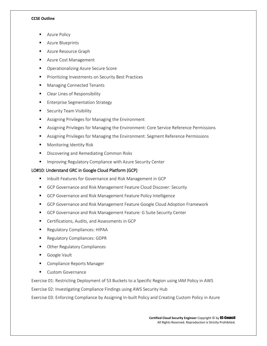- Azure Policy
- Azure Blueprints
- **Azure Resource Graph**
- Azure Cost Management
- **•** Operationalizing Azure Secure Score
- Prioritizing Investments on Security Best Practices
- Managing Connected Tenants
- **EXECLE** Clear Lines of Responsibility
- **Enterprise Segmentation Strategy**
- **Security Team Visibility**
- Assigning Privileges for Managing the Environment
- Assigning Privileges for Managing the Environment: Core Service Reference Permissions
- Assigning Privileges for Managing the Environment: Segment Reference Permissions
- Monitoring Identity Risk
- **Discovering and Remediating Common Risks**
- **IMPROM** Improving Regulatory Compliance with Azure Security Center

# LO#10: Understand GRC in Google Cloud Platform (GCP)

- **Inbuilt Features for Governance and Risk Management in GCP**
- GCP Governance and Risk Management Feature Cloud Discover: Security
- GCP Governance and Risk Management Feature Policy Intelligence
- **GCP Governance and Risk Management Feature Google Cloud Adoption Framework**
- GCP Governance and Risk Management Feature: G Suite Security Center
- Certifications, Audits, and Assessments in GCP
- Regulatory Compliances: HIPAA
- **Regulatory Compliances: GDPR**
- Other Regulatory Compliances
- Google Vault
- **EXECOMPLES** Compliance Reports Manager
- **Custom Governance**

Exercise 01: Restricting Deployment of S3 Buckets to a Specific Region using IAM Policy in AWS

Exercise 02: Investigating Compliance Findings using AWS Security Hub

Exercise 03: Enforcing Compliance by Assigning In-built Policy and Creating Custom Policy in Azure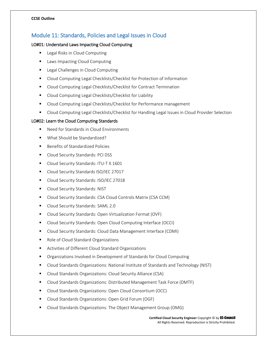# Module 11: Standards, Policies and Legal Issues in Cloud

# LO#01: Understand Laws Impacting Cloud Computing

- Legal Risks in Cloud Computing
- Laws Impacting Cloud Computing
- Legal Challenges in Cloud Computing
- Cloud Computing Legal Checklists/Checklist for Protection of Information
- **E** Cloud Computing Legal Checklists/Checklist for Contract Termination
- Cloud Computing Legal Checklists/Checklist for Liability
- **EXPLO** Cloud Computing Legal Checklists/Checklist for Performance management
- Cloud Computing Legal Checklists/Checklist for Handling Legal Issues in Cloud Provider Selection

# LO#02: Learn the Cloud Computing Standards

- Need for Standards in Cloud Environments
- What Should be Standardized?
- Benefits of Standardized Policies
- **Cloud Security Standards: PCI DSS**
- Cloud Security Standards: ITU-T X.1601
- Cloud Security Standards ISO/IEC 27017
- **Cloud Security Standards: ISO/IEC 27018**
- **Cloud Security Standards: NIST**
- Cloud Security Standards: CSA Cloud Controls Matrix (CSA CCM)
- **Cloud Security Standards: SAML 2.0**
- Cloud Security Standards: Open Virtualization Format (OVF)
- Cloud Security Standards: Open Cloud Computing Interface (OCCI)
- Cloud Security Standards: Cloud Data Management Interface (CDMI)
- Role of Cloud Standard Organizations
- Activities of Different Cloud Standard Organizations
- **The Combut Computed Standard in Development of Standards for Cloud Computing**
- Cloud Standards Organizations: National Institute of Standards and Technology (NIST)
- Cloud Standards Organizations: Cloud Security Alliance (CSA)
- Cloud Standards Organizations: Distributed Management Task Force (DMTF)
- Cloud Standards Organizations: Open Cloud Consortium (OCC)
- Cloud Standards Organizations: Open Grid Forum (OGF)
- Cloud Standards Organizations: The Object Management Group (OMG)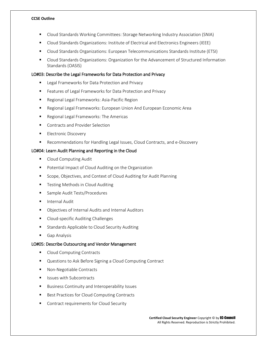- Cloud Standards Working Committees: Storage Networking Industry Association (SNIA)
- Cloud Standards Organizations: Institute of Electrical and Electronics Engineers (IEEE)
- Cloud Standards Organizations: European Telecommunications Standards Institute (ETSI)
- Cloud Standards Organizations: Organization for the Advancement of Structured Information Standards (OASIS)

# LO#03: Describe the Legal Frameworks for Data Protection and Privacy

- Legal Frameworks for Data Protection and Privacy
- **Features of Legal Frameworks for Data Protection and Privacy**
- **Regional Legal Frameworks: Asia-Pacific Region**
- Regional Legal Frameworks: European Union And European Economic Area
- Regional Legal Frameworks: The Americas
- Contracts and Provider Selection
- **Electronic Discovery**
- **EXECOMMEND** Recommendations for Handling Legal Issues, Cloud Contracts, and e-Discovery

# LO#04: Learn Audit Planning and Reporting in the Cloud

- **Cloud Computing Audit**
- **Potential Impact of Cloud Auditing on the Organization**
- Scope, Objectives, and Context of Cloud Auditing for Audit Planning
- **Testing Methods in Cloud Auditing**
- Sample Audit Tests/Procedures
- **Internal Audit**
- **Diectives of Internal Audits and Internal Auditors**
- **E** Cloud-specific Auditing Challenges
- **EXECUTE:** Standards Applicable to Cloud Security Auditing
- **Gap Analysis**

# LO#05: Describe Outsourcing and Vendor Management

- Cloud Computing Contracts
- Questions to Ask Before Signing a Cloud Computing Contract
- Non-Negotiable Contracts
- **In Itsues with Subcontracts**
- **Business Continuity and Interoperability Issues**
- **Best Practices for Cloud Computing Contracts**
- **Contract requirements for Cloud Security**